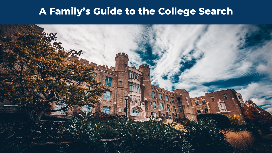## **A Family's Guide to the College Search**

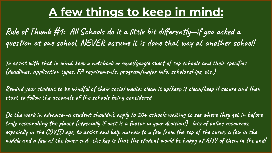# **A few things to keep in mind:**

**Rule of Thumb #1: All Schools do it a little bit differently--if you asked a question at one school, NEVER assume it is done that way at another school!**

**To assist with that in mind: keep a notebook or excel/google sheet of top schools and their specifics (deadlines, application types, FA requirements, program/major info, scholarships, etc.)**

**Remind your student to be mindful of their social media: clean it up/keep it clean/keep it secure and then start to follow the accounts of the schools being considered**

**Do the work in advance--a student shouldn't apply to 20+ schools waiting to see where they get in before truly researching the places (especially if cost is a factor in your decision!)--lots of online resources, especially in the COVID age, to assist and help narrow to a few from the top of the curve, a few in the middle and a few at the lower end--the key is that the student would be happy at ANY of them in the end!**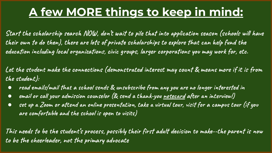# **A few MORE things to keep in mind:**

**Start the scholarship search NOW, don't wait to pile that into application season (schools will have their own to do then), there are lots of private scholarships to explore that can help fund the education including local organizations, civic groups, larger corporations you may work for, etc.**

**Let the student make the connections (demonstrated interest may count & means more if it is from the student):** 

- **● read emails/mail that a school sends & unsubscribe from any you are no longer interested in**
- **● email or call your admission counselor (& send a thank-you notecard after an interview!)**
- **● set up a Zoom or attend an online presentation, take a virtual tour, visit for a campus tour (if you are comfortable and the school is open to visits)**

**This needs to be the student's process, possibly their first adult decision to make--the parent is now to be the cheerleader, not the primary advocate**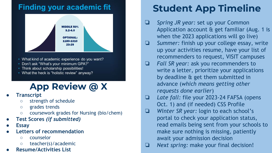### **Finding your academic fit**



- What kind of academic experience do you want?
- Don't ask "What's your minimum GPA?"
- Think about scholarship possibilities!
- What the heck is "holistic review" anyway?

## **App Review @ X**

- **● Transcript**
	- strength of schedule
	- grades trends
	- coursework grades for Nursing (bio/chem)
- **● Test Scores** *(if submitted)*
- **● Essay**
- **● Letters of recommendation**
	- counselor
	- teacher(s)/academic
- **● Resume/Activities List**

# **Student App Timeline**

- ❏ *Spring JR year:* set up your Common Application account & get familiar (Aug. 1 is when the 2023 applications will go live)
- ❏ *Summer:* finish up your college essay, write up your activities resume, have your list of recommenders to request, VISIT campuses
- ❏ *Fall SR year:* ask you recommenders to write a letter, prioritize your applications by deadline & get them submitted in advance (*which means getting other requests done earlier*)
- ❏ *Late fall:* file your 2023-24 FAFSA (opens Oct. 1) and (if needed) CSS Profile
- ❏ *Winter SR year:* login to each school's portal to check your application status, read emails being sent from your schools to make sure nothing is missing, patiently await your admission decision
- ❏ *Next spring:* make your final decision!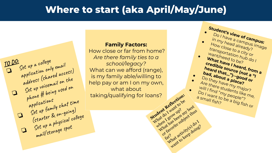### **Where to start (aka April/May/June)**

**Student's view of campus:**<br>Do I have a campus in my head already?  $\bullet$  Do I have a campus:<br>
in my head already?<br>
How close to a diready?

• How close to a city or transportation hub do I

What have I heard, from a **credible source (not a "I heard that…")--good or bad, about a place?** Do they have my major? Are there students like me, will I find "my people"? a small fish?<br>Bo I want to be a big fish or<br>a small fish? be a big fish or

want/need to be?

a small fish?<br>?shall fish

dent Revant Local dent Librest<br>Dat do Lydning? my best<br>part a grow up? my best<br>when a has been my et do? or favorite subject thus

has ve sub.<br>avorite sub.<br>avorite scritics(s) doing.<br>what activity(s) doing. want to keep doing?

kar?



#### **Family Factors:**

How close or far from home? *Are there family ties to a school/legacy?* What can we afford (range), is my family able/willing to help pay or am I on my own, what about taking/qualifying for loans?<br>
Student Reflection:<br>
Student Reflection:<br>
Student Reflection:<br>
What Agreement Reflection: What do I want to be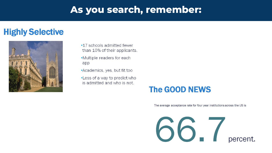### **As you search, remember:**

### **Highly Selective**



- •17 schools admitted fewer than 10% of their applicants.
- •Multiple readers for each app
- •Academics, yes, but fit too
- •Less of a way to predict who is admitted and who is not.

### **The GOOD NEWS**

The average acceptance rate for four year institutions across the US is

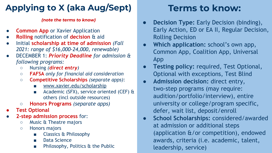### **Applying to X (aka Aug/Sept)**

#### *(note the terms to know)*

- **Common App** or Xavier Application
- **Rolling** notification of **decision** & aid
- Initial **scholarship at time of admission** *(Fall 2021: range of \$16,000-24,000, renewable)*
- DECEMBER 1: *Priority Deadline for admission & following programs:*
	- Nursing *(direct entry)*
	- **FAFSA** *only for financial aid consideration*
	- **Competitive Scholarships** *(separate apps)*:
		- www.xavier.edu/scholarship
		- Academic (SFX), service oriented (CEF)  $\alpha$ others (incl outside resources)
	- **Honors Programs** *(separate apps)*
- **● Test Optional**
- **2-step admission process** for:
	- Music & Theatre majors
	- Honors majors
		- Classics & Philosophy
		- Data Science
		- Philosophy, Politics & the Public

### **Terms to know:**

- **Decision Type:** Early Decision (binding), Early Action, ED or EA II, Regular Decision, Rolling Decision
- **Which application:** school's own app, Common App, Coalition App, Universal App
- **Testing policy:** required, Test Optional, Optional with exceptions, Test Blind
- **Admission decision:** direct entry, two-step programs (may require: audition/portfolio/interview), entire university or college/program specific, defer, wait list, deposit/enroll
- **School Scholarships:** considered/awarded at admission or additional steps (application &/or competition), endowed awards, criteria (i.e. academic, talent, leadership, service)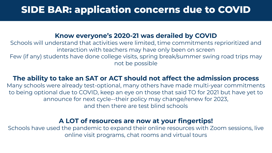### **SIDE BAR: application concerns due to COVID**

#### **Know everyone's 2020-21 was derailed by COVID**

Schools will understand that activities were limited, time commitments reprioritized and interaction with teachers may have only been on screen

Few (if any) students have done college visits, spring break/summer swing road trips may not be possible

#### **The ability to take an SAT or ACT should not affect the admission process**

Many schools were already test-optional, many others have made multi-year commitments to being optional due to COVID, keep an eye on those that said TO for 2021 but have yet to announce for next cycle--their policy may change/renew for 2023, and then there are test blind schools

#### **A LOT of resources are now at your fingertips!**

Schools have used the pandemic to expand their online resources with Zoom sessions, live online visit programs, chat rooms and virtual tours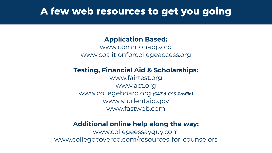### **A few web resources to get you going**

### **Application Based:**

[www.commonapp.org](http://www.commonapp.org) [www.coalitionforcollegeaccess.org](http://www.coalitionforcollegeaccess.org)

### **Testing, Financial Aid & Scholarships:**

[www.fairtest.org](http://www.fairtest.org) [www.act.org](http://www.act.org) [www.collegeboard.org](http://www.collegeboard.org) *(SAT & CSS Profile)* [www.studentaid.gov](http://www.studentaid.gov) [www.fastweb.com](http://www.fastweb.com)

### **Additional online help along the way:**

[www.collegee](http://www.college)ssayguy.com www.collegecovered.com/resources-for-counselors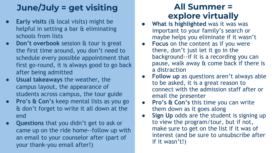## **June/July = get visiting**

- **Early visits (& local visits) might be** helpful in setting a bar & eliminating schools from lists
- **Don't overbook** session & tour is great the first time around, you don't need to schedule every possible appointment that first go-round, it is always good to go back after being admitted
- **● Usual takeaways** the weather, the campus layout, the appearance of students across campus, the tour guide
- **● Pro's & Con's** keep mental lists as you go & don't forget to write it all down at the end
- **● Questions** that you didn't get to ask or came up on the ride home--follow up with an email to your counselor after (part of your thank-you email after!)

### **All Summer = explore virtually**

- **What is highlighted** was it was was important to your family's search or maybe helps you eliminate if it wasn't
- **Focus** on the content as if you were there, don't just let it go in the background--if it is a recording you can pause, walk away & come back if there is a distraction
- **● Follow up** as questions aren't always able to be asked, it is a great reason to connect with the admission staff after or email the presenter
- **● Pro's & Con's** this time you can write them down as it goes along
- Sign Up odds are the student is signing up to view the program/tour, but if not, make sure to get on the list if it was of interest (and be sure to unsubscribe after if it wasn't!)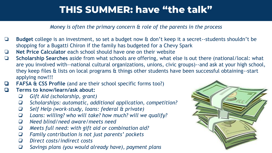### **THIS SUMMER: have "the talk"**

*Money is often the primary concern & role of the parents in the process*

- ❏ **Budget** college is an investment, so set a budget now & don't keep it a secret--students shouldn't be shopping for a Bugatti Chiron if the family has budgeted for a Chevy Spark
- ❏ **Net Price Calculator** each school should have one on their website
- ❏ **Scholarship Searches** aside from what schools are offering, what else is out there (national/local: what are you involved with--national cultural organizations, unions, civic groups)--and ask at your high school, they keep files & lists on local programs & things other students have been successful obtaining--start applying now!!!
- ❏ **FAFSA & CSS Profile** (and are their school specific forms too?)
- ❏ **Terms to know/learn/ask about:**
	- $\Box$ *Gift Aid (scholarship, grant)*
	- $\Box$ *Scholarships: automatic, additional application, competition?*
	- $\Box$ *Self Help (work-study, loans: federal & private)*
	- $\Box$ *Loans: willing? who will take? how much? will we qualify?*
	- $\Box$ *Need blind/need aware/meets need*
	- $\Box$ *Meets full need: with gift aid or combination aid?*
	- $\Box$ *Family contribution is not just parents' pockets*
	- $\Box$ *Direct costs/indirect costs*
	- $\Box$ *Savings plans (you would already have), payment plans*

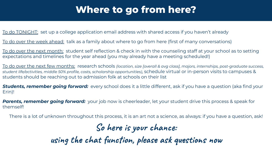### **Where to go from here?**

To do TONIGHT: set up a college application email address with shared access if you haven't already

To do over the week ahead: talk as a family about where to go from here (first of many conversations)

To do over the next month: student self reflection & check in with the counseling staff at your school as to setting expectations and timelines for the year ahead (you may already have a meeting scheduled!)

To do over the next few months: research schools *(location, size [overall & avg class], majors, internships, post-graduate success, student life/activities, middle 50% profile, costs, scholarship opportunities)*, schedule virtual or in-person visits to campuses & students should be reaching out to admission folk at schools on their list

*Students, remember going forward:* every school does it a little different, ask if you have a question (aka find your Erin)!

*Parents, remember going forward:* your job now is cheerleader, let your student drive this process & speak for themself!

There is a lot of unknown throughout this process, it is an art not a science, as always: if you have a question, ask!

**So here is your chance:**

**using the chat function, please ask questions now**